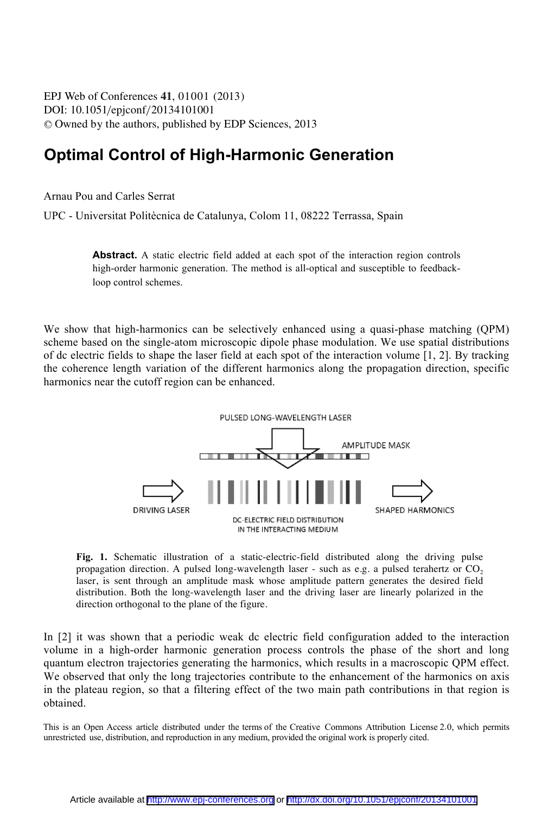EPJ Web of Conferences , **41** 01001 (2013) DOI: 10.1051/epjconf/20134101001 <sup>C</sup> Owned by the authors, published by EDP Sciences, 2013

## **Optimal Control of High-Harmonic Generation**

Arnau Pou and Carles Serrat

UPC - Universitat Politècnica de Catalunya, Colom 11, 08222 Terrassa, Spain

Abstract. A static electric field added at each spot of the interaction region controls high-order harmonic generation. The method is all-optical and susceptible to feedbackloop control schemes.

We show that high-harmonics can be selectively enhanced using a quasi-phase matching (QPM) scheme based on the single-atom microscopic dipole phase modulation. We use spatial distributions of dc electric fields to shape the laser field at each spot of the interaction volume [1, 2]. By tracking the coherence length variation of the different harmonics along the propagation direction, specific harmonics near the cutoff region can be enhanced.



**Fig. 1.** Schematic illustration of a static-electric-field distributed along the driving pulse propagation direction. A pulsed long-wavelength laser - such as e.g. a pulsed terahertz or  $CO<sub>2</sub>$ laser, is sent through an amplitude mask whose amplitude pattern generates the desired field distribution. Both the long-wavelength laser and the driving laser are linearly polarized in the direction orthogonal to the plane of the figure.

In [2] it was shown that a periodic weak dc electric field configuration added to the interaction volume in a high-order harmonic generation process controls the phase of the short and long quantum electron trajectories generating the harmonics, which results in a macroscopic QPM effect. We observed that only the long trajectories contribute to the enhancement of the harmonics on axis in the plateau region, so that a filtering effect of the two main path contributions in that region is obtained.

This is an Open Access article distributed under the terms of the Creative Commons Attribution License 2.0, which permits unrestricted use, distribution, and reproduction in any medium, provided the original work is properly cited.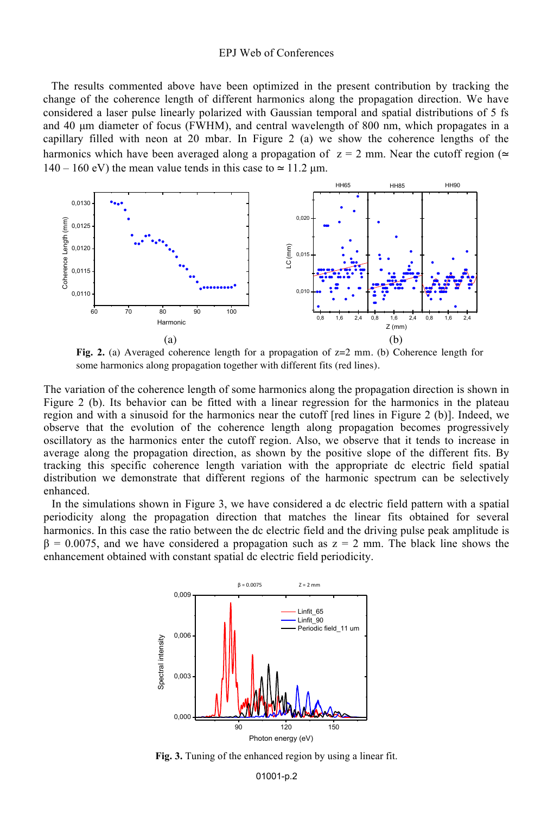## EPJ Web of Conferences

The results commented above have been optimized in the present contribution by tracking the change of the coherence length of different harmonics along the propagation direction. We have considered a laser pulse linearly polarized with Gaussian temporal and spatial distributions of 5 fs and 40 µm diameter of focus (FWHM), and central wavelength of 800 nm, which propagates in a capillary filled with neon at 20 mbar. In Figure 2 (a) we show the coherence lengths of the harmonics which have been averaged along a propagation of  $z = 2$  mm. Near the cutoff region (≃  $140 - 160$  eV) the mean value tends in this case to  $\simeq 11.2$  um.



**Fig. 2.** (a) Averaged coherence length for a propagation of z=2 mm. (b) Coherence length for some harmonics along propagation together with different fits (red lines).

The variation of the coherence length of some harmonics along the propagation direction is shown in Figure 2 (b). Its behavior can be fitted with a linear regression for the harmonics in the plateau region and with a sinusoid for the harmonics near the cutoff [red lines in Figure 2 (b)]. Indeed, we observe that the evolution of the coherence length along propagation becomes progressively oscillatory as the harmonics enter the cutoff region. Also, we observe that it tends to increase in average along the propagation direction, as shown by the positive slope of the different fits. By tracking this specific coherence length variation with the appropriate dc electric field spatial distribution we demonstrate that different regions of the harmonic spectrum can be selectively enhanced.

In the simulations shown in Figure 3, we have considered a dc electric field pattern with a spatial periodicity along the propagation direction that matches the linear fits obtained for several harmonics. In this case the ratio between the dc electric field and the driving pulse peak amplitude is  $\beta = 0.0075$ , and we have considered a propagation such as  $z = 2$  mm. The black line shows the enhancement obtained with constant spatial dc electric field periodicity.



**Fig. 3.** Tuning of the enhanced region by using a linear fit.